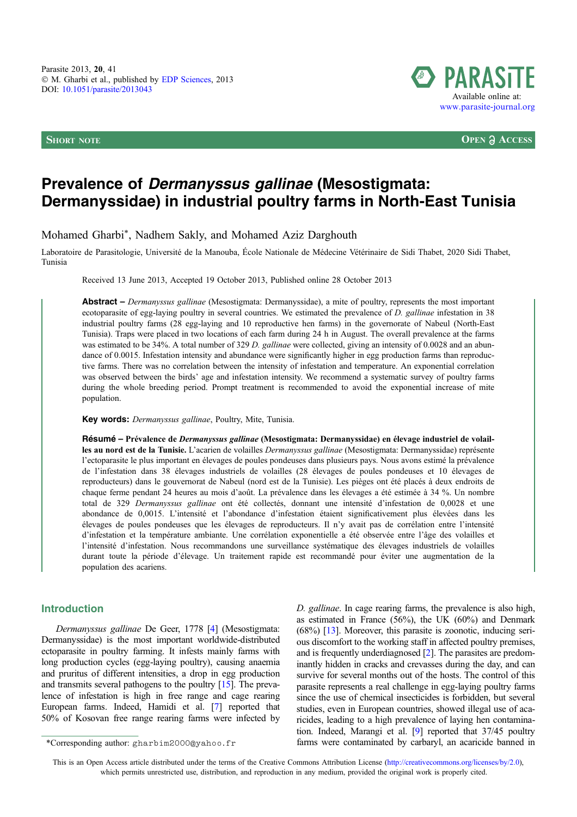

**SHORT NOTE OPEN**  $\partial$  **ACCESS** 

# Prevalence of Dermanyssus gallinae (Mesostigmata: Dermanyssidae) in industrial poultry farms in North-East Tunisia

Mohamed Gharbi\*, Nadhem Sakly, and Mohamed Aziz Darghouth

Laboratoire de Parasitologie, Université de la Manouba, École Nationale de Médecine Vétérinaire de Sidi Thabet, 2020 Sidi Thabet, Tunisia

Received 13 June 2013, Accepted 19 October 2013, Published online 28 October 2013

Abstract – Dermanyssus gallinae (Mesostigmata: Dermanyssidae), a mite of poultry, represents the most important ecotoparasite of egg-laying poultry in several countries. We estimated the prevalence of D. gallinae infestation in 38 industrial poultry farms (28 egg-laying and 10 reproductive hen farms) in the governorate of Nabeul (North-East Tunisia). Traps were placed in two locations of each farm during 24 h in August. The overall prevalence at the farms was estimated to be 34%. A total number of 329 D. gallinae were collected, giving an intensity of 0.0028 and an abundance of 0.0015. Infestation intensity and abundance were significantly higher in egg production farms than reproductive farms. There was no correlation between the intensity of infestation and temperature. An exponential correlation was observed between the birds' age and infestation intensity. We recommend a systematic survey of poultry farms during the whole breeding period. Prompt treatment is recommended to avoid the exponential increase of mite population.

Key words: Dermanyssus gallinae, Poultry, Mite, Tunisia.

Résumé – Prévalence de Dermanyssus gallinae (Mesostigmata: Dermanyssidae) en élevage industriel de volailles au nord est de la Tunisie. L'acarien de volailles Dermanyssus gallinae (Mesostigmata: Dermanyssidae) représente l'ectoparasite le plus important en élevages de poules pondeuses dans plusieurs pays. Nous avons estimé la prévalence de l'infestation dans 38 élevages industriels de volailles (28 élevages de poules pondeuses et 10 élevages de reproducteurs) dans le gouvernorat de Nabeul (nord est de la Tunisie). Les pièges ont été placés à deux endroits de chaque ferme pendant 24 heures au mois d'août. La prévalence dans les élevages a été estimée à 34 %. Un nombre total de 329 Dermanyssus gallinae ont été collectés, donnant une intensité d'infestation de 0,0028 et une abondance de 0,0015. L'intensité et l'abondance d'infestation étaient significativement plus élevées dans les élevages de poules pondeuses que les élevages de reproducteurs. Il n'y avait pas de corrélation entre l'intensité d'infestation et la température ambiante. Une corrélation exponentielle a été observée entre l'âge des volailles et l'intensité d'infestation. Nous recommandons une surveillance systématique des élevages industriels de volailles durant toute la période d'élevage. Un traitement rapide est recommandé pour éviter une augmentation de la population des acariens.

## Introduction

Dermanyssus gallinae De Geer, 1778 [\[4\]](#page-2-0) (Mesostigmata: Dermanyssidae) is the most important worldwide-distributed ectoparasite in poultry farming. It infests mainly farms with long production cycles (egg-laying poultry), causing anaemia and pruritus of different intensities, a drop in egg production and transmits several pathogens to the poultry [\[15](#page-2-0)]. The prevalence of infestation is high in free range and cage rearing European farms. Indeed, Hamidi et al. [\[7](#page-2-0)] reported that 50% of Kosovan free range rearing farms were infected by

D. gallinae. In cage rearing farms, the prevalence is also high, as estimated in France (56%), the UK (60%) and Denmark (68%) [\[13\]](#page-2-0). Moreover, this parasite is zoonotic, inducing serious discomfort to the working staff in affected poultry premises, and is frequently underdiagnosed [[2](#page-2-0)]. The parasites are predominantly hidden in cracks and crevasses during the day, and can survive for several months out of the hosts. The control of this parasite represents a real challenge in egg-laying poultry farms since the use of chemical insecticides is forbidden, but several studies, even in European countries, showed illegal use of acaricides, leading to a high prevalence of laying hen contamination. Indeed, Marangi et al. [[9](#page-2-0)] reported that 37/45 poultry \*Corresponding author: gharbim2000@yahoo.fr farms were contaminated by carbaryl, an acaricide banned in

This is an Open Access article distributed under the terms of the Creative Commons Attribution License ([http://creativecommons.org/licenses/by/2.0\),](http://creativecommons.org/licenses/by/2.0/) [which permits unrestricted use, distribution, and reproduction in any medium, provided the original work is properly cited.](http://creativecommons.org/licenses/by/2.0/)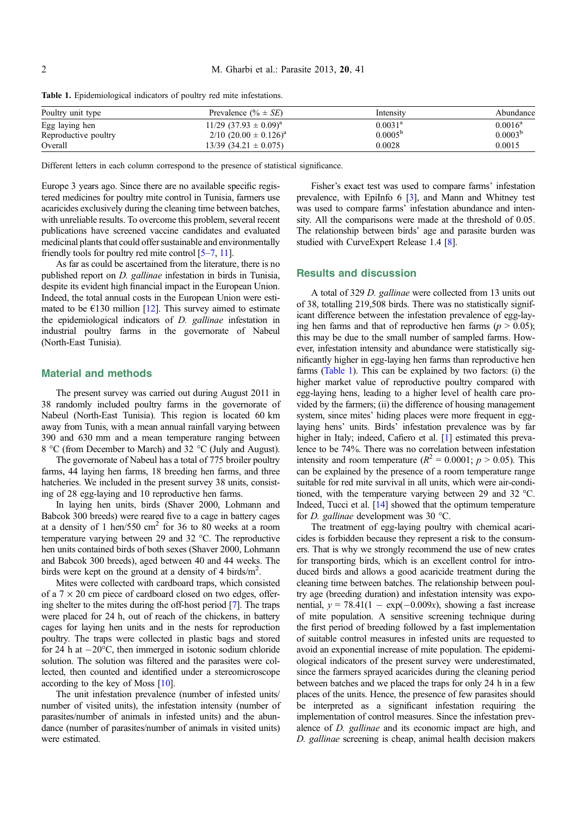Table 1. Epidemiological indicators of poultry red mite infestations.

| Poultry unit type    | Prevalence $(\% \pm SE)$                | Intensity        | Abundance    |
|----------------------|-----------------------------------------|------------------|--------------|
| Egg laying hen       | $11/29$ (37.93 $\pm$ 0.09) <sup>a</sup> | $0.0031^{\rm a}$ | $0.0016^a$   |
| Reproductive poultry | $2/10$ (20.00 $\pm$ 0.126) <sup>a</sup> | $0.0005^{\rm b}$ | $0.0003^{b}$ |
| Overall              | $13/39$ $(34.21 \pm 0.075)$             | 0.0028           | 0.0015       |

Different letters in each column correspond to the presence of statistical significance.

Europe 3 years ago. Since there are no available specific registered medicines for poultry mite control in Tunisia, farmers use acaricides exclusively during the cleaning time between batches, with unreliable results. To overcome this problem, several recent publications have screened vaccine candidates and evaluated medicinal plants that could offer sustainable and environmentally friendly tools for poultry red mite control [\[5–7,](#page-2-0) [11](#page-2-0)].

As far as could be ascertained from the literature, there is no published report on D. gallinae infestation in birds in Tunisia, despite its evident high financial impact in the European Union. Indeed, the total annual costs in the European Union were estimated to be  $E130$  million [\[12\]](#page-2-0). This survey aimed to estimate the epidemiological indicators of D. gallinae infestation in industrial poultry farms in the governorate of Nabeul (North-East Tunisia).

### Material and methods

The present survey was carried out during August 2011 in 38 randomly included poultry farms in the governorate of Nabeul (North-East Tunisia). This region is located 60 km away from Tunis, with a mean annual rainfall varying between 390 and 630 mm and a mean temperature ranging between 8 °C (from December to March) and 32 °C (July and August).

The governorate of Nabeul has a total of 775 broiler poultry farms, 44 laying hen farms, 18 breeding hen farms, and three hatcheries. We included in the present survey 38 units, consisting of 28 egg-laying and 10 reproductive hen farms.

In laying hen units, birds (Shaver 2000, Lohmann and Babcok 300 breeds) were reared five to a cage in battery cages at a density of 1 hen/550  $\text{cm}^2$  for 36 to 80 weeks at a room temperature varying between 29 and 32  $^{\circ}$ C. The reproductive hen units contained birds of both sexes (Shaver 2000, Lohmann and Babcok 300 breeds), aged between 40 and 44 weeks. The birds were kept on the ground at a density of 4 birds/ $m^2$ .

Mites were collected with cardboard traps, which consisted of a  $7 \times 20$  cm piece of cardboard closed on two edges, offering shelter to the mites during the off-host period [\[7](#page-2-0)]. The traps were placed for 24 h, out of reach of the chickens, in battery cages for laying hen units and in the nests for reproduction poultry. The traps were collected in plastic bags and stored for 24 h at  $-20^{\circ}$ C, then immerged in isotonic sodium chloride solution. The solution was filtered and the parasites were collected, then counted and identified under a stereomicroscope according to the key of Moss [\[10\]](#page-2-0).

The unit infestation prevalence (number of infested units/ number of visited units), the infestation intensity (number of parasites/number of animals in infested units) and the abundance (number of parasites/number of animals in visited units) were estimated.

Fisher's exact test was used to compare farms' infestation prevalence, with EpiInfo 6 [\[3](#page-2-0)], and Mann and Whitney test was used to compare farms' infestation abundance and intensity. All the comparisons were made at the threshold of 0.05. The relationship between birds' age and parasite burden was studied with CurveExpert Release 1.4 [[8\]](#page-2-0).

#### Results and discussion

A total of 329 D. gallinae were collected from 13 units out of 38, totalling 219,508 birds. There was no statistically significant difference between the infestation prevalence of egg-laying hen farms and that of reproductive hen farms ( $p > 0.05$ ); this may be due to the small number of sampled farms. However, infestation intensity and abundance were statistically significantly higher in egg-laying hen farms than reproductive hen farms (Table 1). This can be explained by two factors: (i) the higher market value of reproductive poultry compared with egg-laying hens, leading to a higher level of health care provided by the farmers; (ii) the difference of housing management system, since mites' hiding places were more frequent in egglaying hens' units. Birds' infestation prevalence was by far higher in Italy; indeed, Cafiero et al. [[1](#page-2-0)] estimated this prevalence to be 74%. There was no correlation between infestation intensity and room temperature ( $R^2 = 0.0001$ ;  $p > 0.05$ ). This can be explained by the presence of a room temperature range suitable for red mite survival in all units, which were air-conditioned, with the temperature varying between 29 and 32  $^{\circ}$ C. Indeed, Tucci et al. [\[14\]](#page-2-0) showed that the optimum temperature for *D. gallinae* development was 30 °C.

The treatment of egg-laying poultry with chemical acaricides is forbidden because they represent a risk to the consumers. That is why we strongly recommend the use of new crates for transporting birds, which is an excellent control for introduced birds and allows a good acaricide treatment during the cleaning time between batches. The relationship between poultry age (breeding duration) and infestation intensity was exponential,  $y = 78.41(1 - \exp(-0.009x))$ , showing a fast increase of mite population. A sensitive screening technique during the first period of breeding followed by a fast implementation of suitable control measures in infested units are requested to avoid an exponential increase of mite population. The epidemiological indicators of the present survey were underestimated, since the farmers sprayed acaricides during the cleaning period between batches and we placed the traps for only 24 h in a few places of the units. Hence, the presence of few parasites should be interpreted as a significant infestation requiring the implementation of control measures. Since the infestation prevalence of D. gallinae and its economic impact are high, and D. gallinae screening is cheap, animal health decision makers